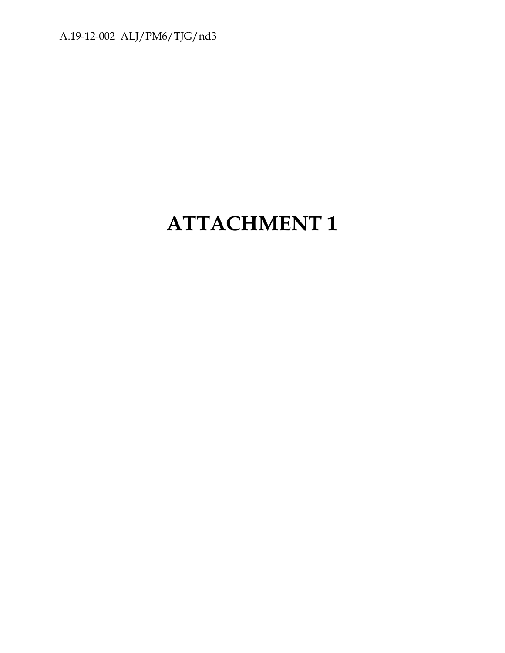A.19-12-002 ALJ/PM6/TJG/nd3

# **ATTACHMENT 1**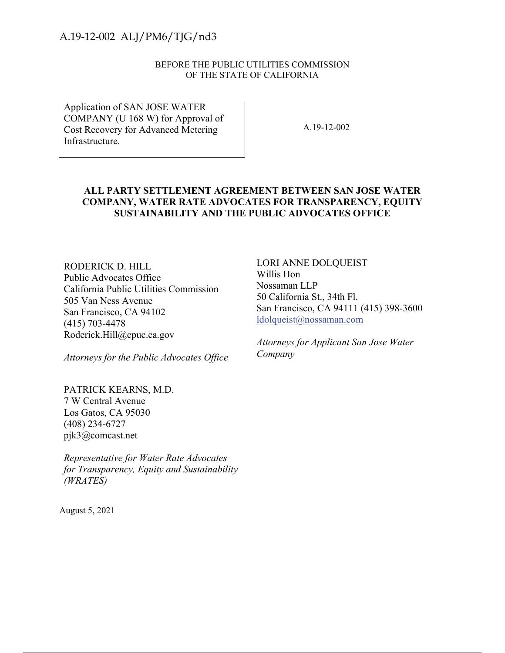#### BEFORE THE PUBLIC UTILITIES COMMISSION OF THE STATE OF CALIFORNIA

Application of SAN JOSE WATER COMPANY (U 168 W) for Approval of Cost Recovery for Advanced Metering Infrastructure.

A.19-12-002

#### **ALL PARTY SETTLEMENT AGREEMENT BETWEEN SAN JOSE WATER COMPANY, WATER RATE ADVOCATES FOR TRANSPARENCY, EQUITY SUSTAINABILITY AND THE PUBLIC ADVOCATES OFFICE**

RODERICK D. HILL Public Advocates Office California Public Utilities Commission 505 Van Ness Avenue San Francisco, CA 94102 (415) 703-4478 Roderick.Hill@cpuc.ca.gov A.19-12-002 A.LJ/PM6/TJG/nd3<br>
BEFORE THE PUBLIC UTILITIES COMMISSION<br>
OF THE FATE OF CALIFORNIA<br>
Application of SAN JOSE WATER<br>
COMPANY (U.168 W) pro Agoroval of<br>
CIVA Reserver for Advanced Metering<br>
The determines<br>
The M

*Attorneys for the Public Advocates Office* 

PATRICK KEARNS, M.D. 7 W Central Avenue Los Gatos, CA 95030 (408) 234-6727 pjk3@comcast.net

*Representative for Water Rate Advocates for Transparency, Equity and Sustainability (WRATES)*

August 5, 2021

LORI ANNE DOLQUEIST Willis Hon Nossaman LLP 50 California St., 34th Fl. San Francisco, CA 94111 (415) 398-3600 ldolqueist@nossaman.com

*Attorneys for Applicant San Jose Water Company*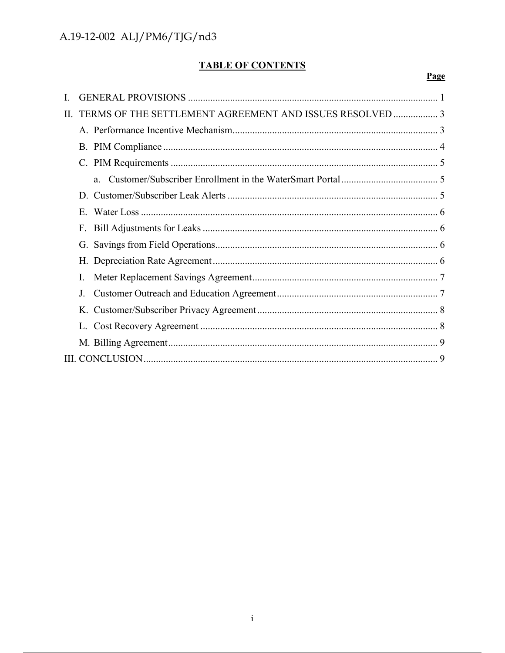# **TABLE OF CONTENTS**

### Page

| П. | TERMS OF THE SETTLEMENT AGREEMENT AND ISSUES RESOLVED  3 |  |
|----|----------------------------------------------------------|--|
|    |                                                          |  |
|    |                                                          |  |
|    |                                                          |  |
|    | a.                                                       |  |
|    |                                                          |  |
|    | $E_{\perp}$                                              |  |
|    | F.                                                       |  |
|    |                                                          |  |
|    |                                                          |  |
|    | L.                                                       |  |
|    | J.                                                       |  |
|    |                                                          |  |
|    |                                                          |  |
|    |                                                          |  |
|    |                                                          |  |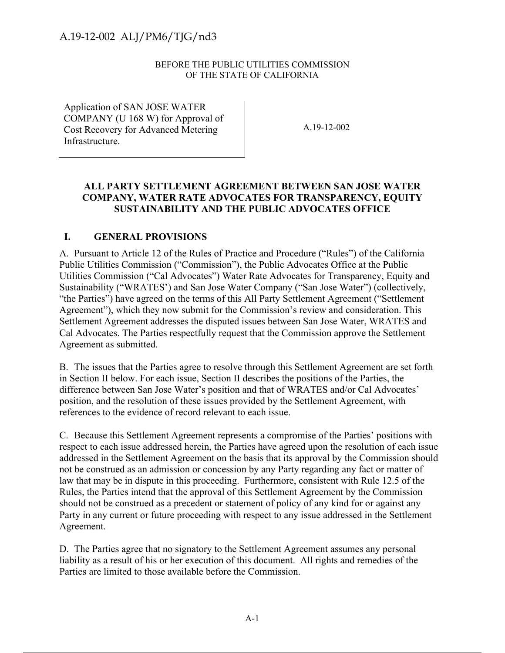#### BEFORE THE PUBLIC UTILITIES COMMISSION OF THE STATE OF CALIFORNIA

Application of SAN JOSE WATER COMPANY (U 168 W) for Approval of Cost Recovery for Advanced Metering Infrastructure.

A.19-12-002

#### **ALL PARTY SETTLEMENT AGREEMENT BETWEEN SAN JOSE WATER COMPANY, WATER RATE ADVOCATES FOR TRANSPARENCY, EQUITY SUSTAINABILITY AND THE PUBLIC ADVOCATES OFFICE**

#### **I. GENERAL PROVISIONS**

A. Pursuant to Article 12 of the Rules of Practice and Procedure ("Rules") of the California Public Utilities Commission ("Commission"), the Public Advocates Office at the Public Utilities Commission ("Cal Advocates") Water Rate Advocates for Transparency, Equity and Sustainability ("WRATES') and San Jose Water Company ("San Jose Water") (collectively, "the Parties") have agreed on the terms of this All Party Settlement Agreement ("Settlement Agreement"), which they now submit for the Commission's review and consideration. This Settlement Agreement addresses the disputed issues between San Jose Water, WRATES and Cal Advocates. The Parties respectfully request that the Commission approve the Settlement Agreement as submitted.

B. The issues that the Parties agree to resolve through this Settlement Agreement are set forth in Section II below. For each issue, Section II describes the positions of the Parties, the difference between San Jose Water's position and that of WRATES and/or Cal Advocates' position, and the resolution of these issues provided by the Settlement Agreement, with references to the evidence of record relevant to each issue.

C. Because this Settlement Agreement represents a compromise of the Parties' positions with respect to each issue addressed herein, the Parties have agreed upon the resolution of each issue addressed in the Settlement Agreement on the basis that its approval by the Commission should not be construed as an admission or concession by any Party regarding any fact or matter of law that may be in dispute in this proceeding. Furthermore, consistent with Rule 12.5 of the Rules, the Parties intend that the approval of this Settlement Agreement by the Commission should not be construed as a precedent or statement of policy of any kind for or against any Party in any current or future proceeding with respect to any issue addressed in the Settlement Agreement. A.19-12-002 A.LJ/PM6/TJG/nd3<br>
BEPORE THE PUBLIC UTILITIES COMMISSON<br>
OF THE FATE OF CALIFORNIA<br>  $\alpha$ Present FRE UTILITIES COMMISSON<br>
COMPANY (UTIES TATE OF CALIFORNIA<br>
COMPANY (UTIES WATER<br>
CAR Reserver for Advantage Merr

D. The Parties agree that no signatory to the Settlement Agreement assumes any personal liability as a result of his or her execution of this document. All rights and remedies of the Parties are limited to those available before the Commission.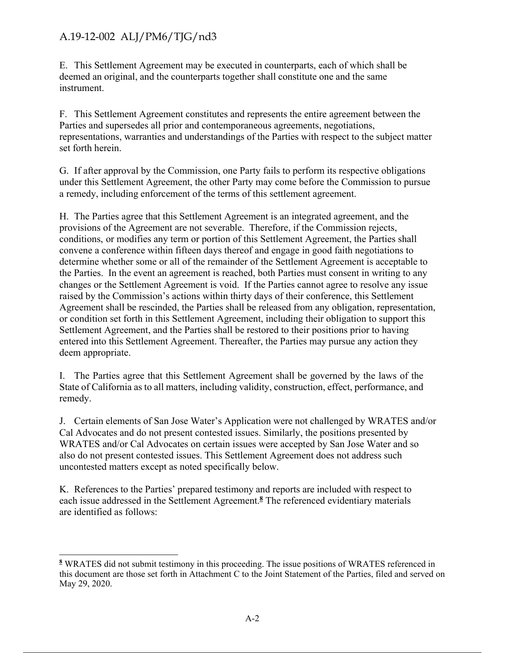E. This Settlement Agreement may be executed in counterparts, each of which shall be deemed an original, and the counterparts together shall constitute one and the same instrument.

F. This Settlement Agreement constitutes and represents the entire agreement between the Parties and supersedes all prior and contemporaneous agreements, negotiations, representations, warranties and understandings of the Parties with respect to the subject matter set forth herein.

G. If after approval by the Commission, one Party fails to perform its respective obligations under this Settlement Agreement, the other Party may come before the Commission to pursue a remedy, including enforcement of the terms of this settlement agreement.

H. The Parties agree that this Settlement Agreement is an integrated agreement, and the provisions of the Agreement are not severable. Therefore, if the Commission rejects, conditions, or modifies any term or portion of this Settlement Agreement, the Parties shall convene a conference within fifteen days thereof and engage in good faith negotiations to determine whether some or all of the remainder of the Settlement Agreement is acceptable to the Parties. In the event an agreement is reached, both Parties must consent in writing to any changes or the Settlement Agreement is void. If the Parties cannot agree to resolve any issue raised by the Commission's actions within thirty days of their conference, this Settlement Agreement shall be rescinded, the Parties shall be released from any obligation, representation, or condition set forth in this Settlement Agreement, including their obligation to support this Settlement Agreement, and the Parties shall be restored to their positions prior to having entered into this Settlement Agreement. Thereafter, the Parties may pursue any action they deem appropriate. A.19-12-002 ALJ/PM6/TJG/nd3<br>
1. The Sectionnel Agreement may be executed in contierparts, each of which shall be<br>
1. This Sectionnel Agreement consideration and teprescription and the sume<br>
descendance of the consideratio

I. The Parties agree that this Settlement Agreement shall be governed by the laws of the State of California as to all matters, including validity, construction, effect, performance, and remedy.

J. Certain elements of San Jose Water's Application were not challenged by WRATES and/or Cal Advocates and do not present contested issues. Similarly, the positions presented by WRATES and/or Cal Advocates on certain issues were accepted by San Jose Water and so also do not present contested issues. This Settlement Agreement does not address such uncontested matters except as noted specifically below.

K. References to the Parties' prepared testimony and reports are included with respect to each issue addressed in the Settlement Agreement.**<sup>8</sup>** The referenced evidentiary materials are identified as follows:

**<sup>8</sup>** WRATES did not submit testimony in this proceeding. The issue positions of WRATES referenced in this document are those set forth in Attachment C to the Joint Statement of the Parties, filed and served on May 29, 2020.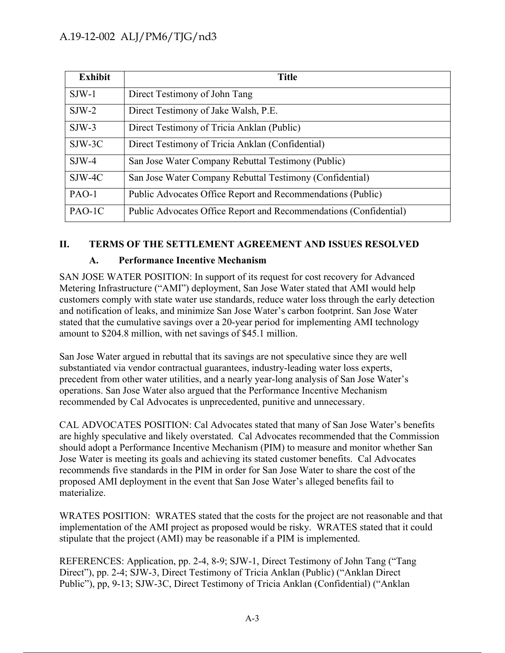|              | <b>Title</b>                                                                                                                                                                                                                                                                                                                                                                                                                                                                                                                                                   |
|--------------|----------------------------------------------------------------------------------------------------------------------------------------------------------------------------------------------------------------------------------------------------------------------------------------------------------------------------------------------------------------------------------------------------------------------------------------------------------------------------------------------------------------------------------------------------------------|
| $SJW-1$      | Direct Testimony of John Tang                                                                                                                                                                                                                                                                                                                                                                                                                                                                                                                                  |
| $SJW-2$      | Direct Testimony of Jake Walsh, P.E.                                                                                                                                                                                                                                                                                                                                                                                                                                                                                                                           |
| $SJW-3$      | Direct Testimony of Tricia Anklan (Public)                                                                                                                                                                                                                                                                                                                                                                                                                                                                                                                     |
| $SJW-3C$     | Direct Testimony of Tricia Anklan (Confidential)                                                                                                                                                                                                                                                                                                                                                                                                                                                                                                               |
| $SJW-4$      | San Jose Water Company Rebuttal Testimony (Public)                                                                                                                                                                                                                                                                                                                                                                                                                                                                                                             |
| SJW-4C       | San Jose Water Company Rebuttal Testimony (Confidential)                                                                                                                                                                                                                                                                                                                                                                                                                                                                                                       |
| PAO-1        | Public Advocates Office Report and Recommendations (Public)                                                                                                                                                                                                                                                                                                                                                                                                                                                                                                    |
| PAO-1C       | Public Advocates Office Report and Recommendations (Confidential)                                                                                                                                                                                                                                                                                                                                                                                                                                                                                              |
| A.           | <b>Performance Incentive Mechanism</b><br>SAN JOSE WATER POSITION: In support of its request for cost recovery for Advanced                                                                                                                                                                                                                                                                                                                                                                                                                                    |
|              | Metering Infrastructure ("AMI") deployment, San Jose Water stated that AMI would help<br>customers comply with state water use standards, reduce water loss through the early detection<br>and notification of leaks, and minimize San Jose Water's carbon footprint. San Jose Water<br>stated that the cumulative savings over a 20-year period for implementing AMI technology<br>amount to \$204.8 million, with net savings of \$45.1 million.                                                                                                             |
|              | San Jose Water argued in rebuttal that its savings are not speculative since they are well<br>substantiated via vendor contractual guarantees, industry-leading water loss experts,<br>precedent from other water utilities, and a nearly year-long analysis of San Jose Water's<br>operations. San Jose Water also argued that the Performance Incentive Mechanism<br>recommended by Cal Advocates is unprecedented, punitive and unnecessary.                                                                                                                |
|              | CAL ADVOCATES POSITION: Cal Advocates stated that many of San Jose Water's benefits<br>are highly speculative and likely overstated. Cal Advocates recommended that the Commission<br>should adopt a Performance Incentive Mechanism (PIM) to measure and monitor whether San<br>Jose Water is meeting its goals and achieving its stated customer benefits. Cal Advocates<br>recommends five standards in the PIM in order for San Jose Water to share the cost of the<br>proposed AMI deployment in the event that San Jose Water's alleged benefits fail to |
| materialize. |                                                                                                                                                                                                                                                                                                                                                                                                                                                                                                                                                                |
|              | implementation of the AMI project as proposed would be risky. WRATES stated that it could<br>stipulate that the project (AMI) may be reasonable if a PIM is implemented.                                                                                                                                                                                                                                                                                                                                                                                       |
|              | WRATES POSITION: WRATES stated that the costs for the project are not reasonable and that<br>REFERENCES: Application, pp. 2-4, 8-9; SJW-1, Direct Testimony of John Tang ("Tang<br>Direct"), pp. 2-4; SJW-3, Direct Testimony of Tricia Anklan (Public) ("Anklan Direct<br>Public"), pp, 9-13; SJW-3C, Direct Testimony of Tricia Anklan (Confidential) ("Anklan                                                                                                                                                                                               |

### **II. TERMS OF THE SETTLEMENT AGREEMENT AND ISSUES RESOLVED**

### **A. Performance Incentive Mechanism**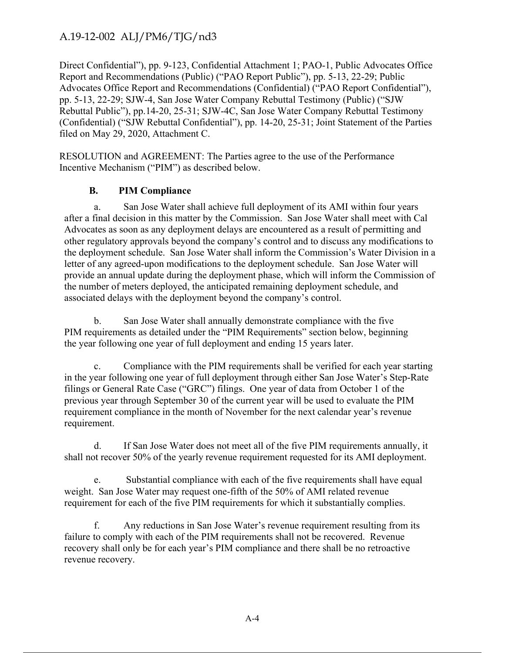Direct Confidential"), pp. 9-123, Confidential Attachment 1; PAO-1, Public Advocates Office Report and Recommendations (Public) ("PAO Report Public"), pp. 5-13, 22-29; Public Advocates Office Report and Recommendations (Confidential) ("PAO Report Confidential"), pp. 5-13, 22-29; SJW-4, San Jose Water Company Rebuttal Testimony (Public) ("SJW Rebuttal Public"), pp. 14-20, 25-31; SJW-4C, San Jose Water Company Rebuttal Testimony (Confidential) ("SJW Rebuttal Confidential"), pp. 14-20, 25-31; Joint Statement of the Parties filed on May 29, 2020, Attachment C.

RESOLUTION and AGREEMENT: The Parties agree to the use of the Performance Incentive Mechanism ("PIM") as described below.

### **B. PIM Compliance**

a. San Jose Water shall achieve full deployment of its AMI within four years after a final decision in this matter by the Commission. San Jose Water shall meet with Cal Advocates as soon as any deployment delays are encountered as a result of permitting and other regulatory approvals beyond the company's control and to discuss any modifications to the deployment schedule. San Jose Water shall inform the Commission's Water Division in a letter of any agreed-upon modifications to the deployment schedule. San Jose Water will provide an annual update during the deployment phase, which will inform the Commission of the number of meters deployed, the anticipated remaining deployment schedule, and associated delays with the deployment beyond the company's control. A.19-12-002 ALJ/PM6/TJG/nd3<br>
Direct Confidential Muchament 1: PAO-1. Poble Advocate Office<br>
Direct Confidential P. pp. 9-12, Confidential Automateurs (Photo Report Politic Pao Report Solution Political Properties and Reso

b. San Jose Water shall annually demonstrate compliance with the five PIM requirements as detailed under the "PIM Requirements" section below, beginning the year following one year of full deployment and ending 15 years later.

c. Compliance with the PIM requirements shall be verified for each year starting in the year following one year of full deployment through either San Jose Water's Step-Rate filings or General Rate Case ("GRC") filings. One year of data from October 1 of the previous year through September 30 of the current year will be used to evaluate the PIM requirement compliance in the month of November for the next calendar year's revenue requirement.

d. If San Jose Water does not meet all of the five PIM requirements annually, it shall not recover 50% of the yearly revenue requirement requested for its AMI deployment.

e. Substantial compliance with each of the five requirements shall have equal weight. San Jose Water may request one-fifth of the 50% of AMI related revenue requirement for each of the five PIM requirements for which it substantially complies.

f. Any reductions in San Jose Water's revenue requirement resulting from its failure to comply with each of the PIM requirements shall not be recovered. Revenue recovery shall only be for each year's PIM compliance and there shall be no retroactive revenue recovery.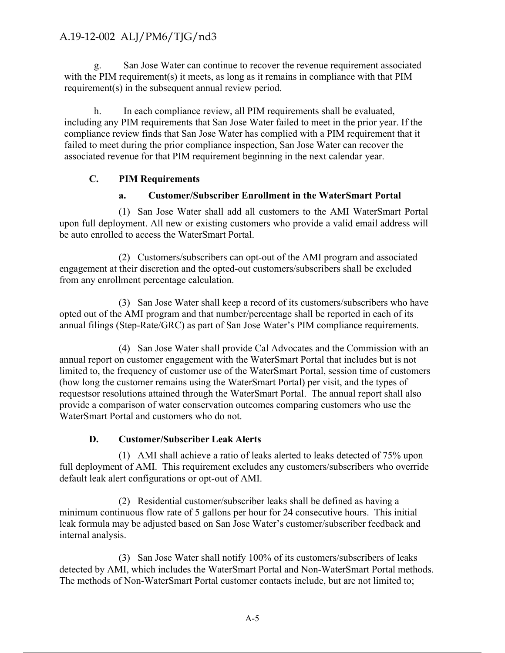g. San Jose Water can continue to recover the revenue requirement associated with the PIM requirement(s) it meets, as long as it remains in compliance with that PIM requirement(s) in the subsequent annual review period.

h. In each compliance review, all PIM requirements shall be evaluated, including any PIM requirements that San Jose Water failed to meet in the prior year. If the compliance review finds that San Jose Water has complied with a PIM requirement that it failed to meet during the prior compliance inspection, San Jose Water can recover the associated revenue for that PIM requirement beginning in the next calendar year.

#### **C. PIM Requirements**

#### **a. Customer/Subscriber Enrollment in the WaterSmart Portal**

(1) San Jose Water shall add all customers to the AMI WaterSmart Portal upon full deployment. All new or existing customers who provide a valid email address will be auto enrolled to access the WaterSmart Portal.

(2) Customers/subscribers can opt-out of the AMI program and associated engagement at their discretion and the opted-out customers/subscribers shall be excluded from any enrollment percentage calculation.

(3) San Jose Water shall keep a record of its customers/subscribers who have opted out of the AMI program and that number/percentage shall be reported in each of its annual filings (Step-Rate/GRC) as part of San Jose Water's PIM compliance requirements.

(4) San Jose Water shall provide Cal Advocates and the Commission with an annual report on customer engagement with the WaterSmart Portal that includes but is not limited to, the frequency of customer use of the WaterSmart Portal, session time of customers (how long the customer remains using the WaterSmart Portal) per visit, and the types of requests or resolutions attained through the WaterSmart Portal. The annual report shall also provide a comparison of water conservation outcomes comparing customers who use the WaterSmart Portal and customers who do not. A.19-12-002 ALJ/PM6/TJG/nd3<br>
1.19-12-002 ALJ/PM6/TJG/nd3<br>
with the PIM angularement of premise or present represent requestions<br>
with the PIM requirement by its means, as long as it remains in compliance with that PIM<br>
re

#### **D. Customer/Subscriber Leak Alerts**

(1) AMI shall achieve a ratio of leaks alerted to leaks detected of 75% upon full deployment of AMI. This requirement excludes any customers/subscribers who override default leak alert configurations or opt-out of AMI.

(2) Residential customer/subscriber leaks shall be defined as having a minimum continuous flow rate of 5 gallons per hour for 24 consecutive hours. This initial leak formula may be adjusted based on San Jose Water's customer/subscriber feedback and internal analysis.

(3) San Jose Water shall notify 100% of its customers/subscribers of leaks detected by AMI, which includes the WaterSmart Portal and Non-WaterSmart Portal methods. The methods of Non-WaterSmart Portal customer contacts include, but are not limited to;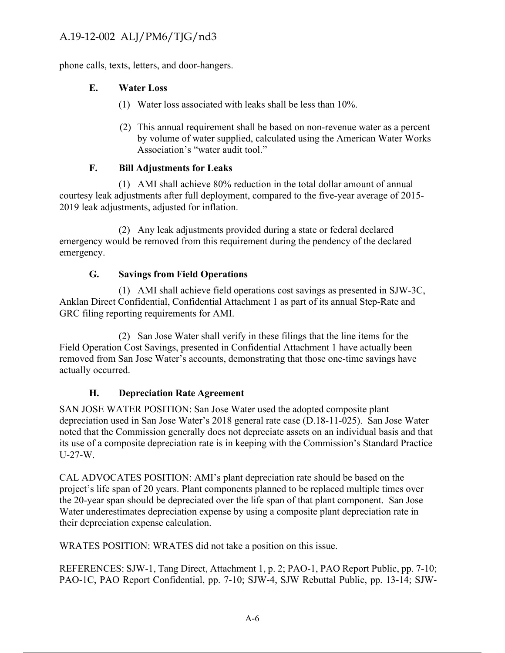phone calls, texts, letters, and door-hangers.

### **E. Water Loss**

- (1) Water loss associated with leaks shall be less than 10%.
- (2) This annual requirement shall be based on non-revenue water as a percent by volume of water supplied, calculated using the American Water Works Association's "water audit tool."

#### **F. Bill Adjustments for Leaks**

(1) AMI shall achieve 80% reduction in the total dollar amount of annual courtesy leak adjustments after full deployment, compared to the five-year average of 2015- 2019 leak adjustments, adjusted for inflation.

(2) Any leak adjustments provided during a state or federal declared emergency would be removed from this requirement during the pendency of the declared emergency.

### **G. Savings from Field Operations**

(1) AMI shall achieve field operations cost savings as presented in SJW-3C, Anklan Direct Confidential, Confidential Attachment 1 as part of its annual Step-Rate and GRC filing reporting requirements for AMI.

(2) San Jose Water shall verify in these filings that the line items for the Field Operation Cost Savings, presented in Confidential Attachment 1 have actually been removed from San Jose Water's accounts, demonstrating that those one-time savings have actually occurred.

#### **H. Depreciation Rate Agreement**

SAN JOSE WATER POSITION: San Jose Water used the adopted composite plant depreciation used in San Jose Water's 2018 general rate case (D.18-11-025). San Jose Water noted that the Commission generally does not depreciate assets on an individual basis and that its use of a composite depreciation rate is in keeping with the Commission's Standard Practice U-27-W. A.19-12-002 ALJ/PM6/TJG/nd3<br>
Explore colls, tests, letters, and door-hangers.<br>
E. Water Loss associated with heaks shall be less than 10%.<br>
(1) Vatar has spacetized with heaks shall be less than 10%.<br>
(2) This annual requ

CAL ADVOCATES POSITION: AMI's plant depreciation rate should be based on the project's life span of 20 years. Plant components planned to be replaced multiple times over the 20-year span should be depreciated over the life span of that plant component. San Jose Water underestimates depreciation expense by using a composite plant depreciation rate in their depreciation expense calculation.

WRATES POSITION: WRATES did not take a position on this issue.

REFERENCES: SJW-1, Tang Direct, Attachment 1, p. 2; PAO-1, PAO Report Public, pp. 7-10; PAO-1C, PAO Report Confidential, pp. 7-10; SJW-4, SJW Rebuttal Public, pp. 13-14; SJW-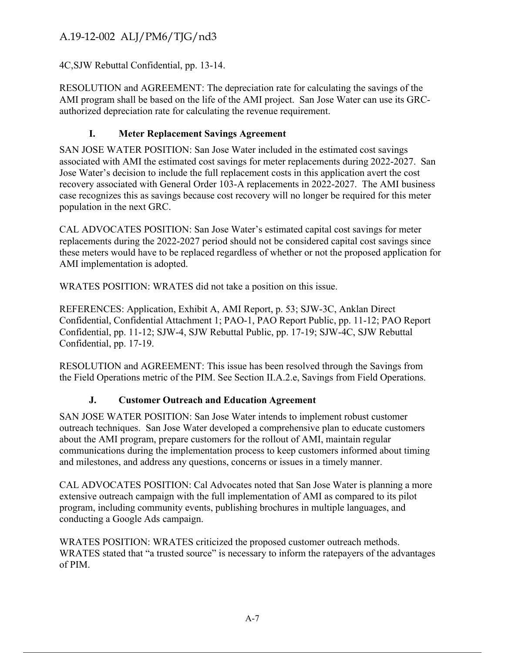### 4C, SJW Rebuttal Confidential, pp. 13-14.

RESOLUTION and AGREEMENT: The depreciation rate for calculating the savings of the AMI program shall be based on the life of the AMI project. San Jose Water can use its GRCauthorized depreciation rate for calculating the revenue requirement.

### **I. Meter Replacement Savings Agreement**

SAN JOSE WATER POSITION: San Jose Water included in the estimated cost savings associated with AMI the estimated cost savings for meter replacements during 2022-2027. San Jose Water's decision to include the full replacement costs in this application avert the cost recovery associated with General Order 103-A replacements in 2022-2027. The AMI business case recognizes this as savings because cost recovery will no longer be required for this meter population in the next GRC. A.19-12-002 A.LJ/PM6/TJG/nd3<br>
4.C.SJW Rebutual Confidential, pp. 13-14,<br>
4.C.SJW Rebutual Confidential, pp. 13-14,<br>
4.C.SJW Rebutual Confidential Research The Life of the CMF project. San lowe Water can use its GRC-<br>
NMI

CAL ADVOCATES POSITION: San Jose Water's estimated capital cost savings for meter replacements during the 2022-2027 period should not be considered capital cost savings since these meters would have to be replaced regardless of whether or not the proposed application for AMI implementation is adopted.

WRATES POSITION: WRATES did not take a position on this issue.

REFERENCES: Application, Exhibit A, AMI Report, p. 53; SJW-3C, Anklan Direct Confidential, Confidential Attachment 1; PAO-1, PAO Report Public, pp. 11-12; PAO Report Confidential, pp. 11-12; SJW-4, SJW Rebuttal Public, pp. 17-19; SJW-4C, SJW Rebuttal Confidential, pp. 17-19.

RESOLUTION and AGREEMENT: This issue has been resolved through the Savings from the Field Operations metric of the PIM. See Section II.A.2.e, Savings from Field Operations.

### **J. Customer Outreach and Education Agreement**

SAN JOSE WATER POSITION: San Jose Water intends to implement robust customer outreach techniques. San Jose Water developed a comprehensive plan to educate customers about the AMI program, prepare customers for the rollout of AMI, maintain regular communications during the implementation process to keep customers informed about timing and milestones, and address any questions, concerns or issues in a timely manner.

CAL ADVOCATES POSITION: Cal Advocates noted that San Jose Water is planning a more extensive outreach campaign with the full implementation of AMI as compared to its pilot program, including community events, publishing brochures in multiple languages, and conducting a Google Ads campaign.

WRATES POSITION: WRATES criticized the proposed customer outreach methods. WRATES stated that "a trusted source" is necessary to inform the ratepayers of the advantages of PIM.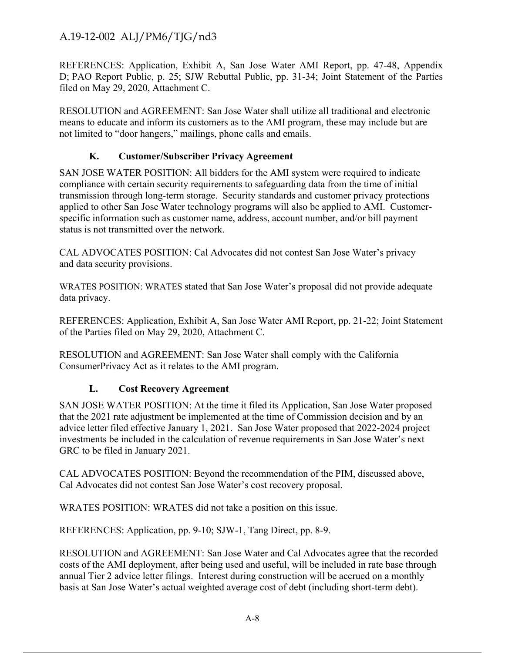REFERENCES: Application, Exhibit A, San Jose Water AMI Report, pp. 47-48, Appendix D; PAO Report Public, p. 25; SJW Rebuttal Public, pp. 31-34; Joint Statement of the Parties filed on May 29, 2020, Attachment C.

RESOLUTION and AGREEMENT: San Jose Water shall utilize all traditional and electronic means to educate and inform its customers as to the AMI program, these may include but are not limited to "door hangers," mailings, phone calls and emails.

### **K. Customer/Subscriber Privacy Agreement**

SAN JOSE WATER POSITION: All bidders for the AMI system were required to indicate compliance with certain security requirements to safeguarding data from the time of initial transmission through long-term storage. Security standards and customer privacy protections applied to other San Jose Water technology programs will also be applied to AMI. Customerspecific information such as customer name, address, account number, and/or bill payment status is not transmitted over the network. A.19-12-002 A.LJ/PM6/TJG/nd3<br>
EMI-INLNNCS Application. Leakibit A. San Jose Water AMI Report, pp. 47-48, Appendua<br>
EU HALNNCS Application. Leakibit A. San Jose Water AMI Report, pp. 47-48, Appendua<br>
Fig. 00. Report Publi

CAL ADVOCATES POSITION: Cal Advocates did not contest San Jose Water's privacy and data security provisions.

WRATES POSITION: WRATES stated that San Jose Water's proposal did not provide adequate data privacy.

REFERENCES: Application, Exhibit A, San Jose Water AMI Report, pp. 21-22; Joint Statement of the Parties filed on May 29, 2020, Attachment C.

RESOLUTION and AGREEMENT: San Jose Water shall comply with the California Consumer Privacy Act as it relates to the AMI program.

#### **L. Cost Recovery Agreement**

SAN JOSE WATER POSITION: At the time it filed its Application, San Jose Water proposed that the 2021 rate adjustment be implemented at the time of Commission decision and by an advice letter filed effective January 1, 2021. San Jose Water proposed that 2022-2024 project investments be included in the calculation of revenue requirements in San Jose Water's next GRC to be filed in January 2021.

CAL ADVOCATES POSITION: Beyond the recommendation of the PIM, discussed above, Cal Advocates did not contest San Jose Water's cost recovery proposal.

WRATES POSITION: WRATES did not take a position on this issue.

REFERENCES: Application, pp. 9-10; SJW-1, Tang Direct, pp. 8-9.

RESOLUTION and AGREEMENT: San Jose Water and Cal Advocates agree that the recorded costs of the AMI deployment, after being used and useful, will be included in rate base through annual Tier 2 advice letter filings. Interest during construction will be accrued on a monthly basis at San Jose Water's actual weighted average cost of debt (including short-term debt).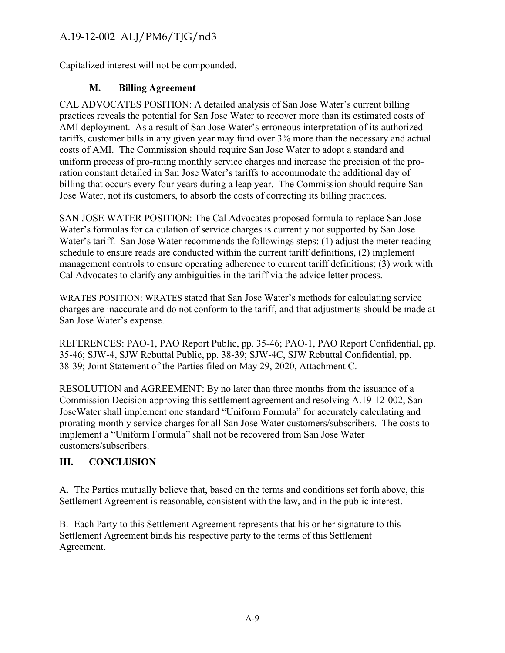Capitalized interest will not be compounded.

## **M. Billing Agreement**

CAL ADVOCATES POSITION: A detailed analysis of San Jose Water's current billing practices reveals the potential for San Jose Water to recover more than its estimated costs of AMI deployment. As a result of San Jose Water's erroneous interpretation of its authorized tariffs, customer bills in any given year may fund over 3% more than the necessary and actual costs of AMI. The Commission should require San Jose Water to adopt a standard and uniform process of pro-rating monthly service charges and increase the precision of the proration constant detailed in San Jose Water's tariffs to accommodate the additional day of billing that occurs every four years during a leap year. The Commission should require San Jose Water, not its customers, to absorb the costs of correcting its billing practices. A.19-12-002 ALJ/PM6/TJG/nd3<br>
Capitalized unterest will not be componeded.<br>
M. Difflux Agreement is illing Agreement to the mainle standard analysis of San Jose Water's current is illing<br>
CAL ADVOCATES POSITION: A detailed

SAN JOSE WATER POSITION: The Cal Advocates proposed formula to replace San Jose Water's formulas for calculation of service charges is currently not supported by San Jose Water's tariff. San Jose Water recommends the followings steps: (1) adjust the meter reading schedule to ensure reads are conducted within the current tariff definitions, (2) implement management controls to ensure operating adherence to current tariff definitions; (3) work with Cal Advocates to clarify any ambiguities in the tariff via the advice letter process.

WRATES POSITION: WRATES stated that San Jose Water's methods for calculating service charges are inaccurate and do not conform to the tariff, and that adjustments should be made at San Jose Water's expense.

REFERENCES: PAO-1, PAO Report Public, pp. 35-46; PAO-1, PAO Report Confidential, pp. 35-46; SJW-4, SJW Rebuttal Public, pp. 38-39; SJW-4C, SJW Rebuttal Confidential, pp. 38-39; Joint Statement of the Parties filed on May 29, 2020, Attachment C.

RESOLUTION and AGREEMENT: By no later than three months from the issuance of a Commission Decision approving this settlement agreement and resolving A.19-12-002, San Jose Water shall implement one standard "Uniform Formula" for accurately calculating and prorating monthly service charges for all San Jose Water customers/subscribers. The costs to implement a "Uniform Formula" shall not be recovered from San Jose Water customers/subscribers.

# **III. CONCLUSION**

A. The Parties mutually believe that, based on the terms and conditions set forth above, this Settlement Agreement is reasonable, consistent with the law, and in the public interest.

B. Each Party to this Settlement Agreement represents that his or her signature to this Settlement Agreement binds his respective party to the terms of this Settlement Agreement.